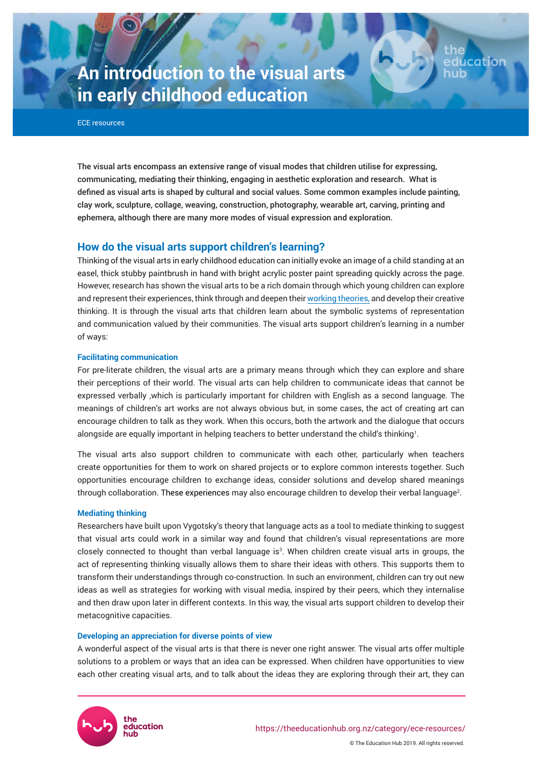# **An introduction to the visual arts in early childhood education**

ECE resources

The visual arts encompass an extensive range of visual modes that children utilise for expressing, communicating, mediating their thinking, engaging in aesthetic exploration and research. What is defined as visual arts is shaped by cultural and social values. Some common examples include painting, clay work, sculpture, collage, weaving, construction, photography, wearable art, carving, printing and ephemera, although there are many more modes of visual expression and exploration.

# **How do the visual arts support children's learning?**

Thinking of the visual arts in early childhood education can initially evoke an image of a child standing at an easel, thick stubby paintbrush in hand with bright acrylic poster paint spreading quickly across the page. However, research has shown the visual arts to be a rich domain through which young children can explore and represent their experiences, think through and deepen their [working theories](https://theeducationhub.org.nz/category/ece-resources/working-theories-in-ece/), and develop their creative thinking. It is through the visual arts that children learn about the symbolic systems of representation and communication valued by their communities. The visual arts support children's learning in a number of ways:

#### **Facilitating communication**

For pre-literate children, the visual arts are a primary means through which they can explore and share their perceptions of their world. The visual arts can help children to communicate ideas that cannot be expressed verbally ,which is particularly important for children with English as a second language. The meanings of children's art works are not always obvious but, in some cases, the act of creating art can encourage children to talk as they work. When this occurs, both the artwork and the dialogue that occurs alongside are equally important in helping teachers to better understand the child's thinking $\cdot$ .

The visual arts also support children to communicate with each other, particularly when teachers create opportunities for them to work on shared projects or to explore common interests together. Such opportunities encourage children to exchange ideas, consider solutions and develop shared meanings through collaboration. These experiences may also encourage children to develop their verbal language<sup>2</sup>.

#### **Mediating thinking**

Researchers have built upon Vygotsky's theory that language acts as a tool to mediate thinking to suggest that visual arts could work in a similar way and found that children's visual representations are more closely connected to thought than verbal language is<sup>3</sup>. When children create visual arts in groups, the act of representing thinking visually allows them to share their ideas with others. This supports them to transform their understandings through co-construction. In such an environment, children can try out new ideas as well as strategies for working with visual media, inspired by their peers, which they internalise and then draw upon later in different contexts. In this way, the visual arts support children to develop their metacognitive capacities.

#### **Developing an appreciation for diverse points of view**

A wonderful aspect of the visual arts is that there is never one right answer. The visual arts offer multiple solutions to a problem or ways that an idea can be expressed. When children have opportunities to view each other creating visual arts, and to talk about the ideas they are exploring through their art, they can



© The Education Hub 2019. All rights reserved.

ducatio: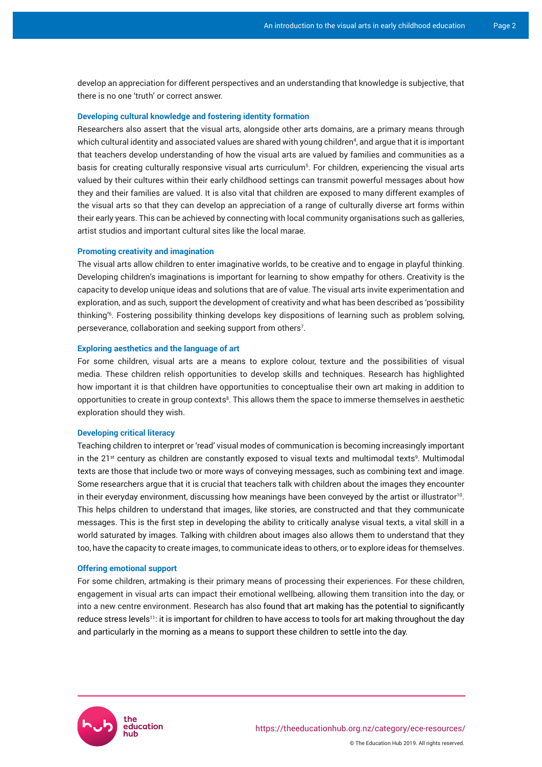develop an appreciation for different perspectives and an understanding that knowledge is subjective, that there is no one 'truth' or correct answer.

#### **Developing cultural knowledge and fostering identity formation**

Researchers also assert that the visual arts, alongside other arts domains, are a primary means through which cultural identity and associated values are shared with young children<sup>4</sup>, and argue that it is important that teachers develop understanding of how the visual arts are valued by families and communities as a basis for creating culturally responsive visual arts curriculum<sup>5</sup>. For children, experiencing the visual arts valued by their cultures within their early childhood settings can transmit powerful messages about how they and their families are valued. It is also vital that children are exposed to many different examples of the visual arts so that they can develop an appreciation of a range of culturally diverse art forms within their early years. This can be achieved by connecting with local community organisations such as galleries, artist studios and important cultural sites like the local marae.

#### **Promoting creativity and imagination**

The visual arts allow children to enter imaginative worlds, to be creative and to engage in playful thinking. Developing children's imaginations is important for learning to show empathy for others. Creativity is the capacity to develop unique ideas and solutions that are of value. The visual arts invite experimentation and exploration, and as such, support the development of creativity and what has been described as 'possibility thinking'<sup>6</sup> . Fostering possibility thinking develops key dispositions of learning such as problem solving, perseverance, collaboration and seeking support from others<sup>7</sup>.

#### **Exploring aesthetics and the language of art**

For some children, visual arts are a means to explore colour, texture and the possibilities of visual media. These children relish opportunities to develop skills and techniques. Research has highlighted how important it is that children have opportunities to conceptualise their own art making in addition to opportunities to create in group contexts $^{\text{\tiny 8}}.$  This allows them the space to immerse themselves in aesthetic exploration should they wish.

#### **Developing critical literacy**

Teaching children to interpret or 'read' visual modes of communication is becoming increasingly important in the 21st century as children are constantly exposed to visual texts and multimodal texts<sup>9</sup>. Multimodal texts are those that include two or more ways of conveying messages, such as combining text and image. Some researchers argue that it is crucial that teachers talk with children about the images they encounter in their everyday environment, discussing how meanings have been conveyed by the artist or illustrator $^{\text{10}}$ . This helps children to understand that images, like stories, are constructed and that they communicate messages. This is the first step in developing the ability to critically analyse visual texts, a vital skill in a world saturated by images. Talking with children about images also allows them to understand that they too, have the capacity to create images, to communicate ideas to others, or to explore ideas for themselves.

#### **Offering emotional support**

For some children, artmaking is their primary means of processing their experiences. For these children, engagement in visual arts can impact their emotional wellbeing, allowing them transition into the day, or into a new centre environment. Research has also found that art making has the potential to significantly reduce stress levels<sup>11</sup>: it is important for children to have access to tools for art making throughout the day and particularly in the morning as a means to support these children to settle into the day.

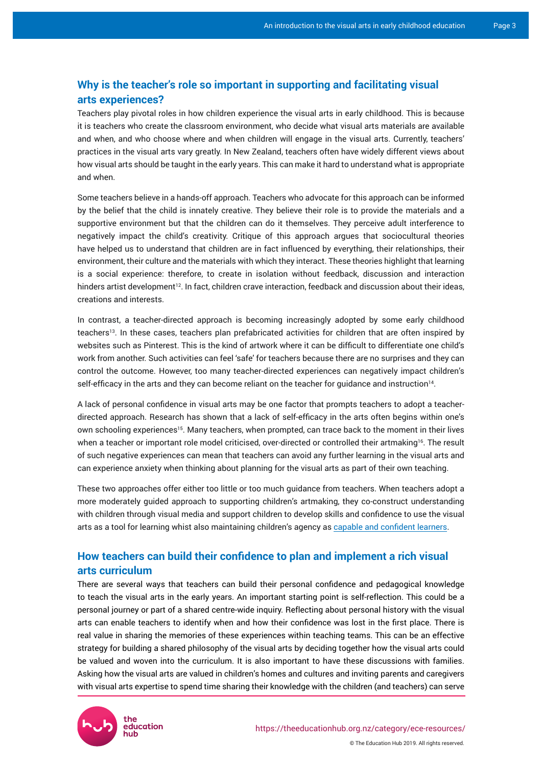# **Why is the teacher's role so important in supporting and facilitating visual arts experiences?**

Teachers play pivotal roles in how children experience the visual arts in early childhood. This is because it is teachers who create the classroom environment, who decide what visual arts materials are available and when, and who choose where and when children will engage in the visual arts. Currently, teachers' practices in the visual arts vary greatly. In New Zealand, teachers often have widely different views about how visual arts should be taught in the early years. This can make it hard to understand what is appropriate and when.

Some teachers believe in a hands-off approach. Teachers who advocate for this approach can be informed by the belief that the child is innately creative. They believe their role is to provide the materials and a supportive environment but that the children can do it themselves. They perceive adult interference to negatively impact the child's creativity. Critique of this approach argues that sociocultural theories have helped us to understand that children are in fact influenced by everything, their relationships, their environment, their culture and the materials with which they interact. These theories highlight that learning is a social experience: therefore, to create in isolation without feedback, discussion and interaction hinders artist development<sup>12</sup>. In fact, children crave interaction, feedback and discussion about their ideas, creations and interests.

In contrast, a teacher-directed approach is becoming increasingly adopted by some early childhood teachers<sup>13</sup>. In these cases, teachers plan prefabricated activities for children that are often inspired by websites such as Pinterest. This is the kind of artwork where it can be difficult to differentiate one child's work from another. Such activities can feel 'safe' for teachers because there are no surprises and they can control the outcome. However, too many teacher-directed experiences can negatively impact children's self-efficacy in the arts and they can become reliant on the teacher for guidance and instruction<sup>14</sup>.

A lack of personal confidence in visual arts may be one factor that prompts teachers to adopt a teacherdirected approach. Research has shown that a lack of self-efficacy in the arts often begins within one's own schooling experiences<sup>15</sup>. Many teachers, when prompted, can trace back to the moment in their lives when a teacher or important role model criticised, over-directed or controlled their artmaking<sup>16</sup>. The result of such negative experiences can mean that teachers can avoid any further learning in the visual arts and can experience anxiety when thinking about planning for the visual arts as part of their own teaching.

These two approaches offer either too little or too much guidance from teachers. When teachers adopt a more moderately guided approach to supporting children's artmaking, they co-construct understanding with children through visual media and support children to develop skills and confidence to use the visual arts as a tool for learning whist also maintaining children's agency as [capable and confident learners](https://theeducationhub.org.nz/category/ece-resources/learner-identity-in-ece/).

# **How teachers can build their confidence to plan and implement a rich visual arts curriculum**

There are several ways that teachers can build their personal confidence and pedagogical knowledge to teach the visual arts in the early years. An important starting point is self-reflection. This could be a personal journey or part of a shared centre-wide inquiry. Reflecting about personal history with the visual arts can enable teachers to identify when and how their confidence was lost in the first place. There is real value in sharing the memories of these experiences within teaching teams. This can be an effective strategy for building a shared philosophy of the visual arts by deciding together how the visual arts could be valued and woven into the curriculum. It is also important to have these discussions with families. Asking how the visual arts are valued in children's homes and cultures and inviting parents and caregivers with visual arts expertise to spend time sharing their knowledge with the children (and teachers) can serve

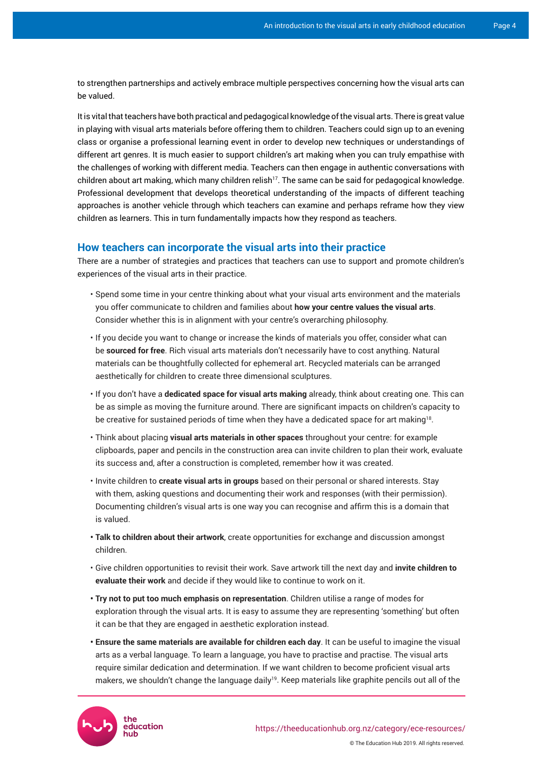to strengthen partnerships and actively embrace multiple perspectives concerning how the visual arts can be valued.

It is vital that teachers have both practical and pedagogical knowledge of the visual arts. There is great value in playing with visual arts materials before offering them to children. Teachers could sign up to an evening class or organise a professional learning event in order to develop new techniques or understandings of different art genres. It is much easier to support children's art making when you can truly empathise with the challenges of working with different media. Teachers can then engage in authentic conversations with children about art making, which many children relish<sup>17</sup>. The same can be said for pedagogical knowledge. Professional development that develops theoretical understanding of the impacts of different teaching approaches is another vehicle through which teachers can examine and perhaps reframe how they view children as learners. This in turn fundamentally impacts how they respond as teachers.

### **How teachers can incorporate the visual arts into their practice**

There are a number of strategies and practices that teachers can use to support and promote children's experiences of the visual arts in their practice.

- Spend some time in your centre thinking about what your visual arts environment and the materials you offer communicate to children and families about **how your centre values the visual arts**. Consider whether this is in alignment with your centre's overarching philosophy.
- If you decide you want to change or increase the kinds of materials you offer, consider what can be **sourced for free**. Rich visual arts materials don't necessarily have to cost anything. Natural materials can be thoughtfully collected for ephemeral art. Recycled materials can be arranged aesthetically for children to create three dimensional sculptures.
- If you don't have a **dedicated space for visual arts making** already, think about creating one. This can be as simple as moving the furniture around. There are significant impacts on children's capacity to be creative for sustained periods of time when they have a dedicated space for art making $^{18}$ .
- Think about placing **visual arts materials in other spaces** throughout your centre: for example clipboards, paper and pencils in the construction area can invite children to plan their work, evaluate its success and, after a construction is completed, remember how it was created.
- Invite children to **create visual arts in groups** based on their personal or shared interests. Stay with them, asking questions and documenting their work and responses (with their permission). Documenting children's visual arts is one way you can recognise and affirm this is a domain that is valued.
- **Talk to children about their artwork**, create opportunities for exchange and discussion amongst children.
- Give children opportunities to revisit their work. Save artwork till the next day and **invite children to evaluate their work** and decide if they would like to continue to work on it.
- **Try not to put too much emphasis on representation**. Children utilise a range of modes for exploration through the visual arts. It is easy to assume they are representing 'something' but often it can be that they are engaged in aesthetic exploration instead.
- **Ensure the same materials are available for children each day**. It can be useful to imagine the visual arts as a verbal language. To learn a language, you have to practise and practise. The visual arts require similar dedication and determination. If we want children to become proficient visual arts makers, we shouldn't change the language daily<sup>19</sup>. Keep materials like graphite pencils out all of the



© The Education Hub 2019. All rights reserved.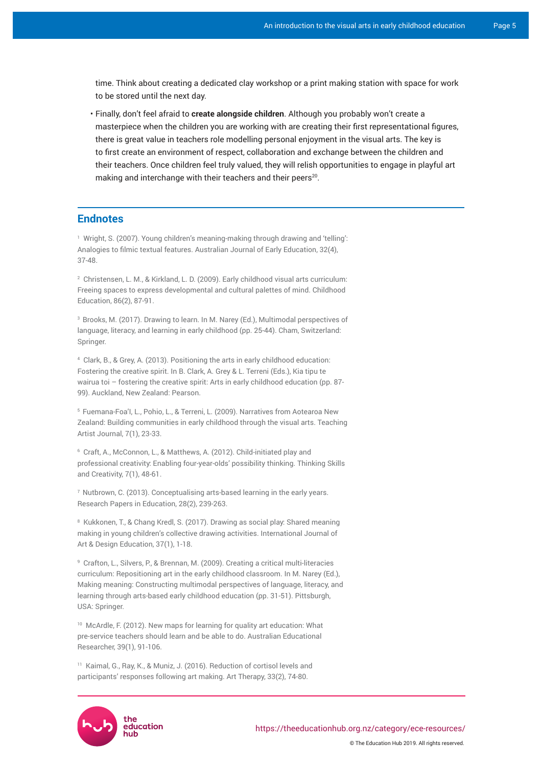time. Think about creating a dedicated clay workshop or a print making station with space for work to be stored until the next day.

• Finally, don't feel afraid to **create alongside children**. Although you probably won't create a masterpiece when the children you are working with are creating their first representational figures, there is great value in teachers role modelling personal enjoyment in the visual arts. The key is to first create an environment of respect, collaboration and exchange between the children and their teachers. Once children feel truly valued, they will relish opportunities to engage in playful art making and interchange with their teachers and their peers $^{20}$ .

# **Endnotes**

1 Wright, S. (2007). Young children's meaning-making through drawing and 'telling': Analogies to filmic textual features. Australian Journal of Early Education, 32(4), 37-48.

2 Christensen, L. M., & Kirkland, L. D. (2009). Early childhood visual arts curriculum: Freeing spaces to express developmental and cultural palettes of mind. Childhood Education, 86(2), 87-91.

<sup>3</sup> Brooks, M. (2017). Drawing to learn. In M. Narey (Ed.), Multimodal perspectives of language, literacy, and learning in early childhood (pp. 25-44). Cham, Switzerland: Springer.

4 Clark, B., & Grey, A. (2013). Positioning the arts in early childhood education: Fostering the creative spirit. In B. Clark, A. Grey & L. Terreni (Eds.), Kia tipu te wairua toi – fostering the creative spirit: Arts in early childhood education (pp. 87-99). Auckland, New Zealand: Pearson.

<sup>5</sup> Fuemana-Foa'l, L., Pohio, L., & Terreni, L. (2009). Narratives from Aotearoa New Zealand: Building communities in early childhood through the visual arts. Teaching Artist Journal, 7(1), 23-33.

6 Craft, A., McConnon, L., & Matthews, A. (2012). Child-initiated play and professional creativity: Enabling four-year-olds' possibility thinking. Thinking Skills and Creativity, 7(1), 48-61.

 $7$  Nutbrown, C. (2013). Conceptualising arts-based learning in the early years. Research Papers in Education, 28(2), 239-263.

<sup>8</sup> Kukkonen, T., & Chang Kredl, S. (2017). Drawing as social play: Shared meaning making in young children's collective drawing activities. International Journal of Art & Design Education, 37(1), 1-18.

9 Crafton, L., Silvers, P., & Brennan, M. (2009). Creating a critical multi-literacies curriculum: Repositioning art in the early childhood classroom. In M. Narey (Ed.), Making meaning: Constructing multimodal perspectives of language, literacy, and learning through arts-based early childhood education (pp. 31-51). Pittsburgh, USA: Springer.

<sup>10</sup> McArdle, F. (2012). New maps for learning for quality art education: What pre-service teachers should learn and be able to do. Australian Educational Researcher, 39(1), 91-106.

<sup>11</sup> Kaimal, G., Ray, K., & Muniz, J. (2016). Reduction of cortisol levels and participants' responses following art making. Art Therapy, 33(2), 74-80.